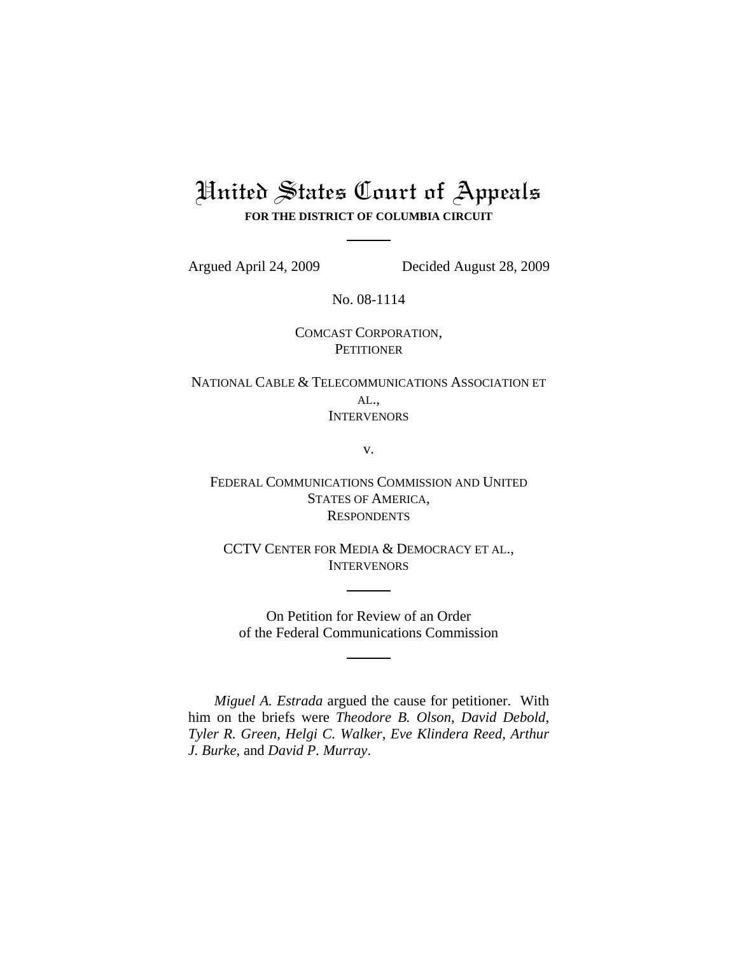# United States Court of Appeals **FOR THE DISTRICT OF COLUMBIA CIRCUIT**

Argued April 24, 2009 Decided August 28, 2009

No. 08-1114

COMCAST CORPORATION, **PETITIONER** 

NATIONAL CABLE & TELECOMMUNICATIONS ASSOCIATION ET AL., **INTERVENORS** 

v.

FEDERAL COMMUNICATIONS COMMISSION AND UNITED STATES OF AMERICA, **RESPONDENTS** 

CCTV CENTER FOR MEDIA & DEMOCRACY ET AL., **INTERVENORS** 

On Petition for Review of an Order of the Federal Communications Commission

*Miguel A. Estrada* argued the cause for petitioner. With him on the briefs were *Theodore B. Olson*, *David Debold*, *Tyler R. Green*, *Helgi C. Walker*, *Eve Klindera Reed*, *Arthur J. Burke*, and *David P. Murray*.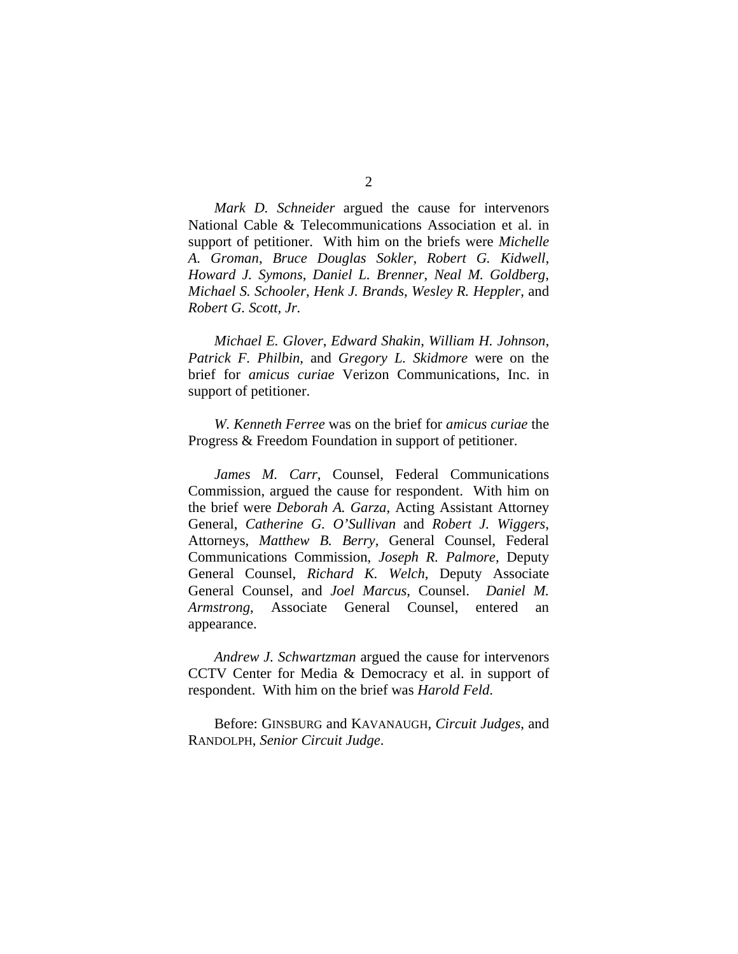*Mark D. Schneider* argued the cause for intervenors National Cable & Telecommunications Association et al. in support of petitioner. With him on the briefs were *Michelle A. Groman*, *Bruce Douglas Sokler*, *Robert G. Kidwell*, *Howard J. Symons*, *Daniel L. Brenner*, *Neal M. Goldberg*, *Michael S. Schooler*, *Henk J. Brands*, *Wesley R. Heppler*, and *Robert G. Scott, Jr.* 

*Michael E. Glover*, *Edward Shakin*, *William H. Johnson*, *Patrick F. Philbin*, and *Gregory L. Skidmore* were on the brief for *amicus curiae* Verizon Communications, Inc. in support of petitioner.

*W. Kenneth Ferree* was on the brief for *amicus curiae* the Progress & Freedom Foundation in support of petitioner.

*James M. Carr*, Counsel, Federal Communications Commission, argued the cause for respondent. With him on the brief were *Deborah A. Garza*, Acting Assistant Attorney General, *Catherine G. O'Sullivan* and *Robert J. Wiggers*, Attorneys, *Matthew B. Berry*, General Counsel, Federal Communications Commission, *Joseph R. Palmore*, Deputy General Counsel, *Richard K. Welch*, Deputy Associate General Counsel, and *Joel Marcus*, Counsel. *Daniel M. Armstrong*, Associate General Counsel, entered an appearance.

*Andrew J. Schwartzman* argued the cause for intervenors CCTV Center for Media & Democracy et al. in support of respondent. With him on the brief was *Harold Feld*.

Before: GINSBURG and KAVANAUGH, *Circuit Judges*, and RANDOLPH, *Senior Circuit Judge*.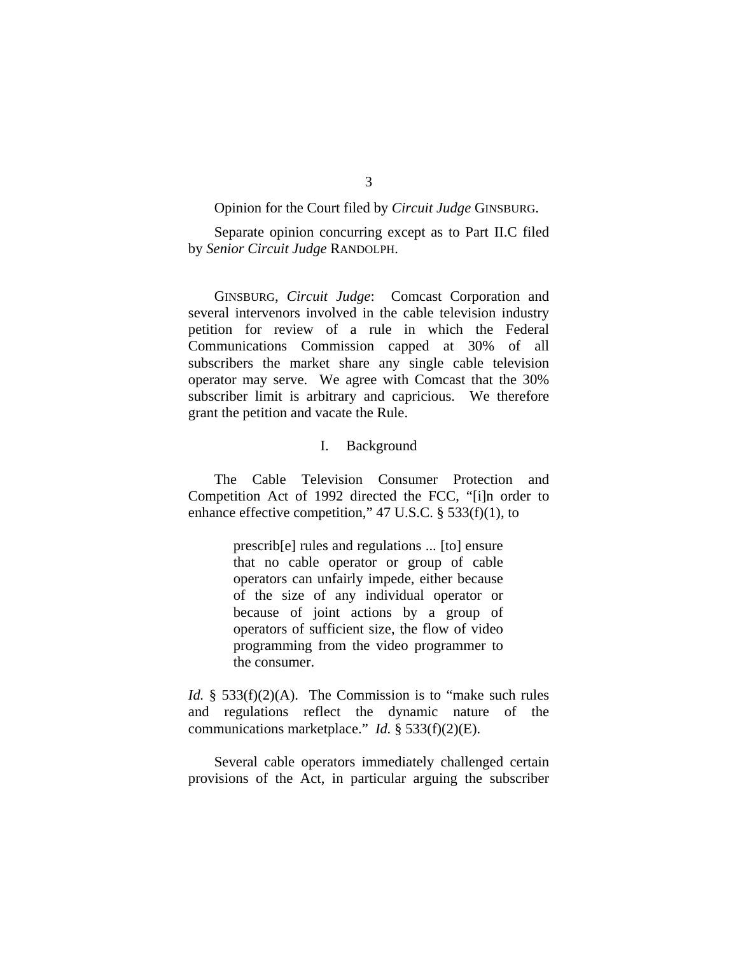Opinion for the Court filed by *Circuit Judge* GINSBURG.

Separate opinion concurring except as to Part II.C filed by *Senior Circuit Judge* RANDOLPH.

 GINSBURG, *Circuit Judge*: Comcast Corporation and several intervenors involved in the cable television industry petition for review of a rule in which the Federal Communications Commission capped at 30% of all subscribers the market share any single cable television operator may serve. We agree with Comcast that the 30% subscriber limit is arbitrary and capricious. We therefore grant the petition and vacate the Rule.

## I. Background

 The Cable Television Consumer Protection and Competition Act of 1992 directed the FCC, "[i]n order to enhance effective competition," 47 U.S.C. § 533(f)(1), to

> prescrib[e] rules and regulations ... [to] ensure that no cable operator or group of cable operators can unfairly impede, either because of the size of any individual operator or because of joint actions by a group of operators of sufficient size, the flow of video programming from the video programmer to the consumer.

*Id.* § 533(f)(2)(A). The Commission is to "make such rules and regulations reflect the dynamic nature of the communications marketplace." *Id.* § 533(f)(2)(E).

 Several cable operators immediately challenged certain provisions of the Act, in particular arguing the subscriber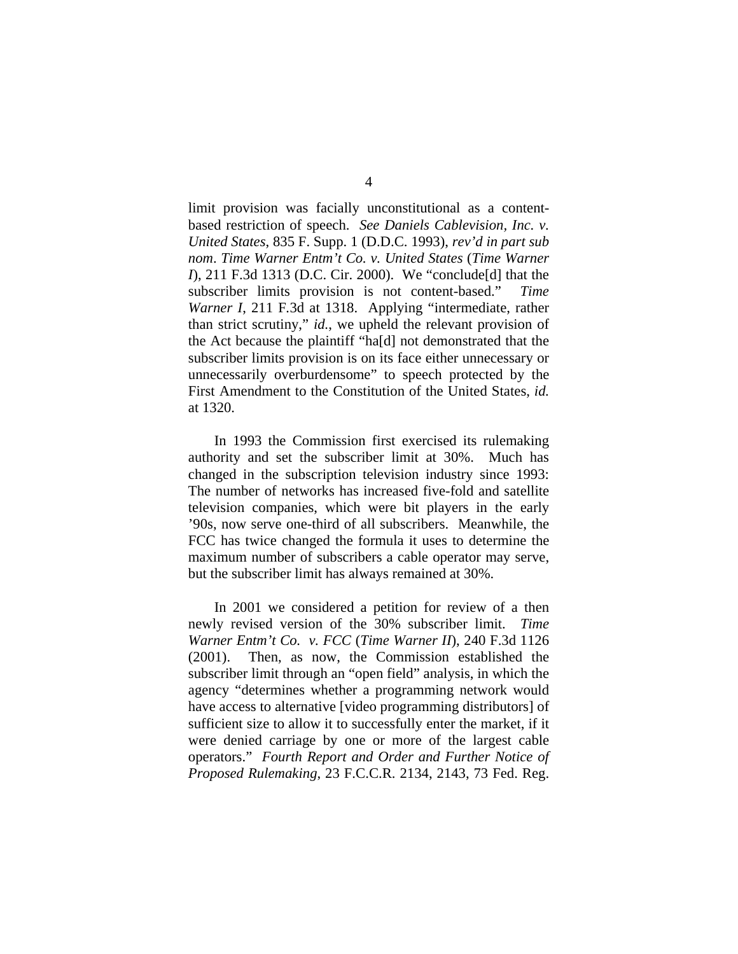limit provision was facially unconstitutional as a contentbased restriction of speech. *See Daniels Cablevision, Inc. v. United States*, 835 F. Supp. 1 (D.D.C. 1993), *rev'd in part sub nom*. *Time Warner Entm't Co. v. United States* (*Time Warner I*), 211 F.3d 1313 (D.C. Cir. 2000). We "conclude[d] that the subscriber limits provision is not content-based." *Time Warner I*, 211 F*.*3d at 1318. Applying "intermediate, rather than strict scrutiny," *id.*, we upheld the relevant provision of the Act because the plaintiff "ha[d] not demonstrated that the subscriber limits provision is on its face either unnecessary or unnecessarily overburdensome" to speech protected by the First Amendment to the Constitution of the United States, *id.* at 1320.

 In 1993 the Commission first exercised its rulemaking authority and set the subscriber limit at 30%. Much has changed in the subscription television industry since 1993: The number of networks has increased five-fold and satellite television companies, which were bit players in the early '90s, now serve one-third of all subscribers. Meanwhile, the FCC has twice changed the formula it uses to determine the maximum number of subscribers a cable operator may serve, but the subscriber limit has always remained at 30%.

 In 2001 we considered a petition for review of a then newly revised version of the 30% subscriber limit. *Time Warner Entm't Co. v. FCC* (*Time Warner II*), 240 F.3d 1126 (2001). Then, as now, the Commission established the subscriber limit through an "open field" analysis, in which the agency "determines whether a programming network would have access to alternative [video programming distributors] of sufficient size to allow it to successfully enter the market, if it were denied carriage by one or more of the largest cable operators." *Fourth Report and Order and Further Notice of Proposed Rulemaking*, 23 F.C.C.R. 2134, 2143, 73 Fed. Reg.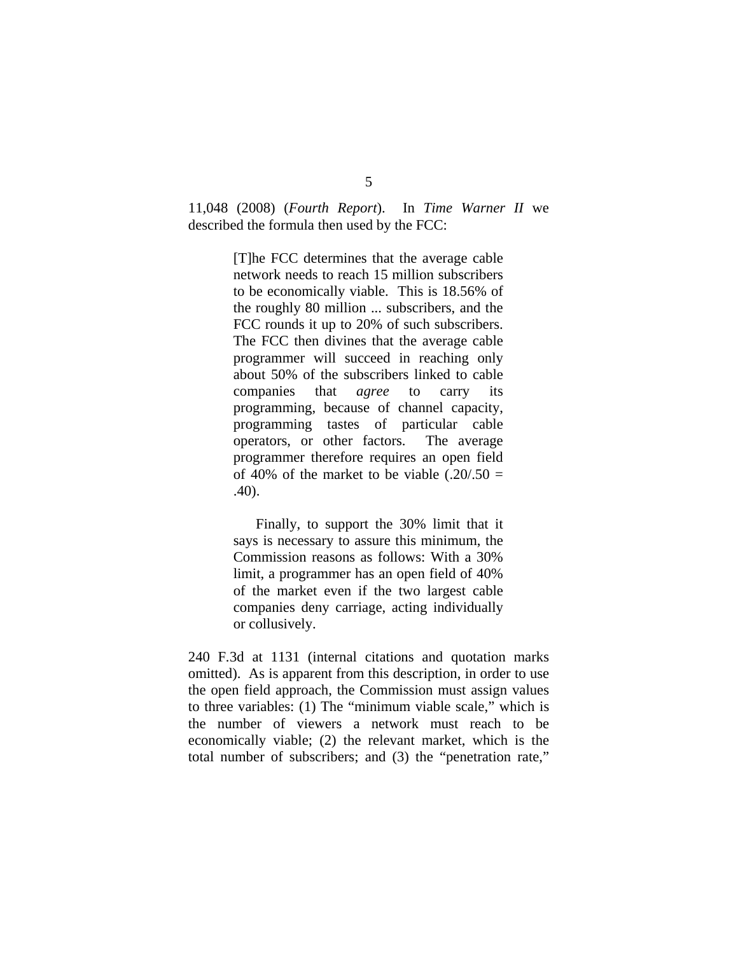11,048 (2008) (*Fourth Report*). In *Time Warner II* we described the formula then used by the FCC:

> [T]he FCC determines that the average cable network needs to reach 15 million subscribers to be economically viable. This is 18.56% of the roughly 80 million ... subscribers, and the FCC rounds it up to 20% of such subscribers. The FCC then divines that the average cable programmer will succeed in reaching only about 50% of the subscribers linked to cable companies that *agree* to carry its programming, because of channel capacity, programming tastes of particular cable operators, or other factors. The average programmer therefore requires an open field of 40% of the market to be viable  $(.20/.50 =$ .40).

> Finally, to support the 30% limit that it says is necessary to assure this minimum, the Commission reasons as follows: With a 30% limit, a programmer has an open field of 40% of the market even if the two largest cable companies deny carriage, acting individually or collusively.

240 F*.*3d at 1131 (internal citations and quotation marks omitted). As is apparent from this description, in order to use the open field approach, the Commission must assign values to three variables: (1) The "minimum viable scale," which is the number of viewers a network must reach to be economically viable; (2) the relevant market, which is the total number of subscribers; and (3) the "penetration rate,"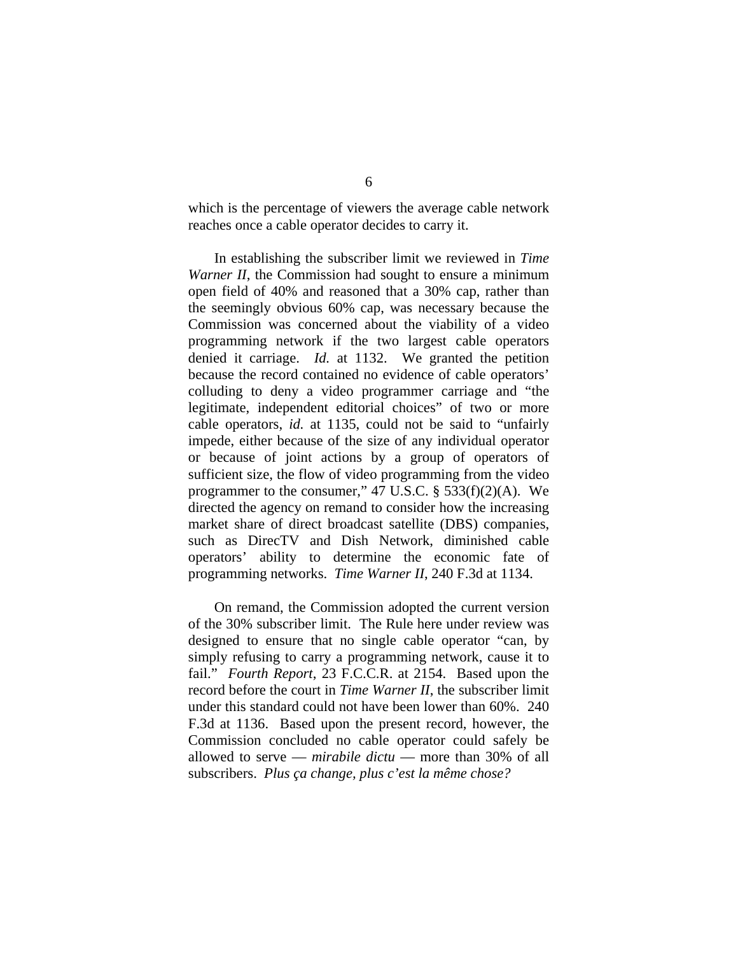which is the percentage of viewers the average cable network reaches once a cable operator decides to carry it.

 In establishing the subscriber limit we reviewed in *Time Warner II*, the Commission had sought to ensure a minimum open field of 40% and reasoned that a 30% cap, rather than the seemingly obvious 60% cap, was necessary because the Commission was concerned about the viability of a video programming network if the two largest cable operators denied it carriage. *Id.* at 1132. We granted the petition because the record contained no evidence of cable operators' colluding to deny a video programmer carriage and "the legitimate, independent editorial choices" of two or more cable operators, *id.* at 1135, could not be said to "unfairly impede, either because of the size of any individual operator or because of joint actions by a group of operators of sufficient size, the flow of video programming from the video programmer to the consumer," 47 U.S.C.  $\S$  533(f)(2)(A). We directed the agency on remand to consider how the increasing market share of direct broadcast satellite (DBS) companies, such as DirecTV and Dish Network, diminished cable operators' ability to determine the economic fate of programming networks. *Time Warner II*, 240 F.3d at 1134.

 On remand, the Commission adopted the current version of the 30% subscriber limit. The Rule here under review was designed to ensure that no single cable operator "can, by simply refusing to carry a programming network, cause it to fail." *Fourth Report*, 23 F.C.C.R. at 2154. Based upon the record before the court in *Time Warner II*, the subscriber limit under this standard could not have been lower than 60%. 240 F.3d at 1136. Based upon the present record, however, the Commission concluded no cable operator could safely be allowed to serve — *mirabile dictu* — more than 30% of all subscribers. *Plus ça change, plus c'est la même chose?*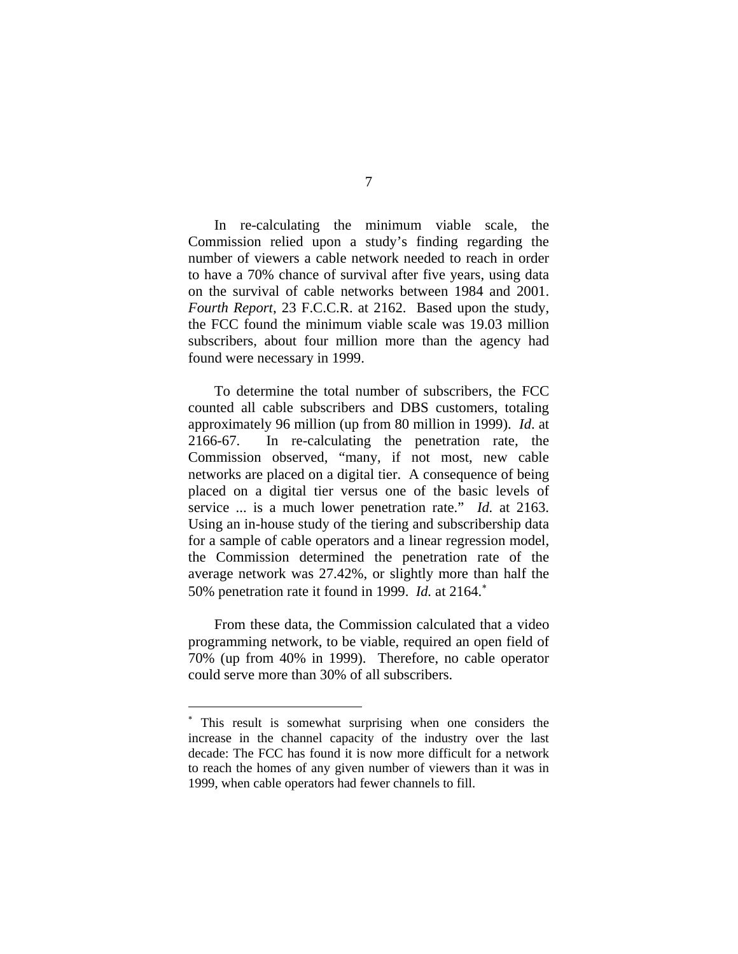In re-calculating the minimum viable scale, the Commission relied upon a study's finding regarding the number of viewers a cable network needed to reach in order to have a 70% chance of survival after five years, using data on the survival of cable networks between 1984 and 2001. *Fourth Report*, 23 F.C.C.R. at 2162. Based upon the study, the FCC found the minimum viable scale was 19.03 million subscribers, about four million more than the agency had found were necessary in 1999.

To determine the total number of subscribers, the FCC counted all cable subscribers and DBS customers, totaling approximately 96 million (up from 80 million in 1999). *Id*. at 2166-67. In re-calculating the penetration rate, the Commission observed, "many, if not most, new cable networks are placed on a digital tier. A consequence of being placed on a digital tier versus one of the basic levels of service ... is a much lower penetration rate." *Id.* at 2163. Using an in-house study of the tiering and subscribership data for a sample of cable operators and a linear regression model, the Commission determined the penetration rate of the average network was 27.42%, or slightly more than half the 50% penetration rate it found in 1999. *Id.* at 2164.<sup>∗</sup>

From these data, the Commission calculated that a video programming network, to be viable, required an open field of 70% (up from 40% in 1999). Therefore, no cable operator could serve more than 30% of all subscribers.

 $\overline{a}$ 

<sup>∗</sup> This result is somewhat surprising when one considers the increase in the channel capacity of the industry over the last decade: The FCC has found it is now more difficult for a network to reach the homes of any given number of viewers than it was in 1999, when cable operators had fewer channels to fill.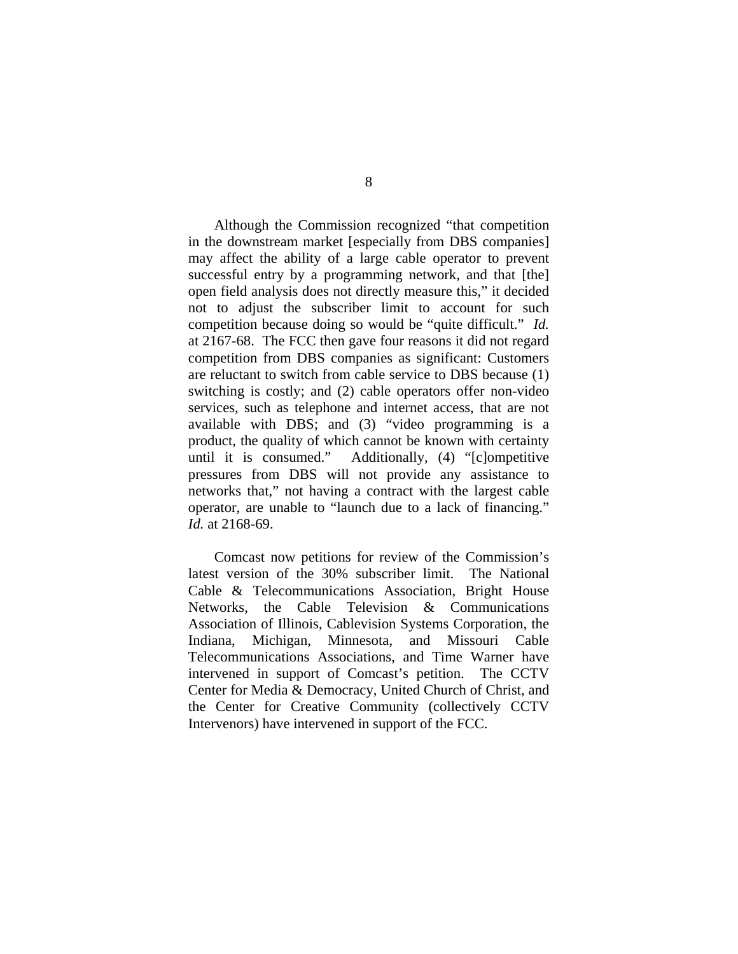Although the Commission recognized "that competition in the downstream market [especially from DBS companies] may affect the ability of a large cable operator to prevent successful entry by a programming network, and that [the] open field analysis does not directly measure this," it decided not to adjust the subscriber limit to account for such competition because doing so would be "quite difficult." *Id.* at 2167-68. The FCC then gave four reasons it did not regard competition from DBS companies as significant: Customers are reluctant to switch from cable service to DBS because (1) switching is costly; and (2) cable operators offer non-video services, such as telephone and internet access, that are not available with DBS; and (3) "video programming is a product, the quality of which cannot be known with certainty until it is consumed." Additionally, (4) "[c]ompetitive pressures from DBS will not provide any assistance to networks that," not having a contract with the largest cable operator, are unable to "launch due to a lack of financing." *Id.* at 2168-69.

 Comcast now petitions for review of the Commission's latest version of the 30% subscriber limit. The National Cable & Telecommunications Association, Bright House Networks, the Cable Television & Communications Association of Illinois, Cablevision Systems Corporation, the Indiana, Michigan, Minnesota, and Missouri Cable Telecommunications Associations, and Time Warner have intervened in support of Comcast's petition. The CCTV Center for Media & Democracy, United Church of Christ, and the Center for Creative Community (collectively CCTV Intervenors) have intervened in support of the FCC.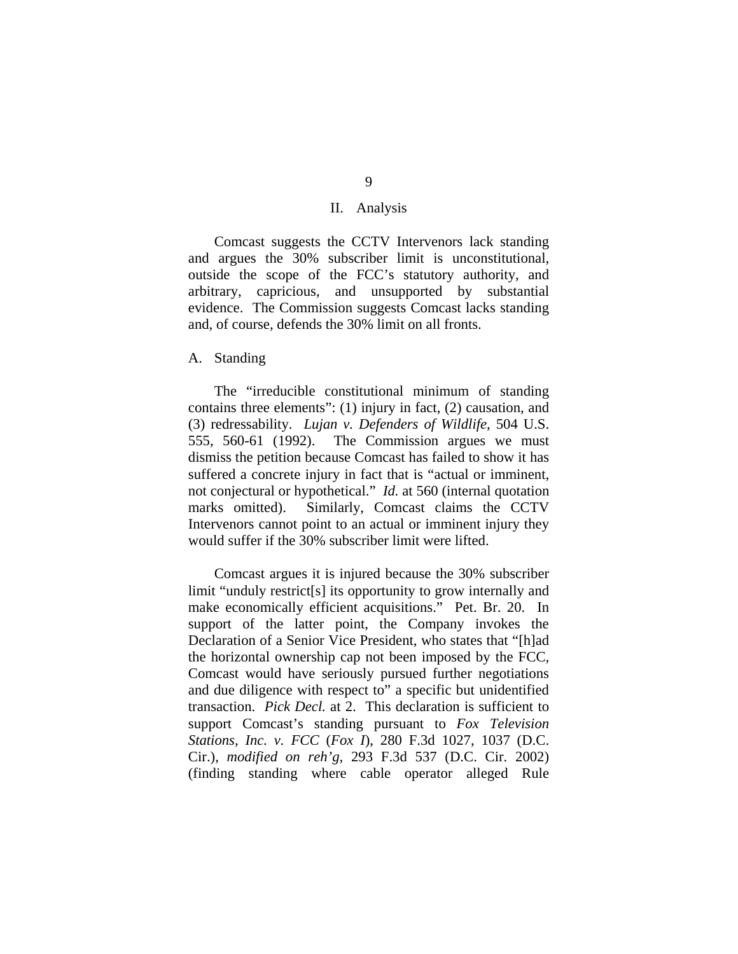## II. Analysis

 Comcast suggests the CCTV Intervenors lack standing and argues the 30% subscriber limit is unconstitutional, outside the scope of the FCC's statutory authority, and arbitrary, capricious, and unsupported by substantial evidence. The Commission suggests Comcast lacks standing and, of course, defends the 30% limit on all fronts.

# A. Standing

 The "irreducible constitutional minimum of standing contains three elements": (1) injury in fact, (2) causation, and (3) redressability. *Lujan v. Defenders of Wildlife*, 504 U.S. 555, 560-61 (1992). The Commission argues we must dismiss the petition because Comcast has failed to show it has suffered a concrete injury in fact that is "actual or imminent, not conjectural or hypothetical." *Id.* at 560 (internal quotation marks omitted). Similarly, Comcast claims the CCTV Intervenors cannot point to an actual or imminent injury they would suffer if the 30% subscriber limit were lifted.

 Comcast argues it is injured because the 30% subscriber limit "unduly restrict[s] its opportunity to grow internally and make economically efficient acquisitions." Pet. Br. 20. In support of the latter point, the Company invokes the Declaration of a Senior Vice President, who states that "[h]ad the horizontal ownership cap not been imposed by the FCC, Comcast would have seriously pursued further negotiations and due diligence with respect to" a specific but unidentified transaction. *Pick Decl.* at 2. This declaration is sufficient to support Comcast's standing pursuant to *Fox Television Stations, Inc. v. FCC* (*Fox I*), 280 F.3d 1027, 1037 (D.C. Cir.), *modified on reh'g*, 293 F.3d 537 (D.C. Cir. 2002) (finding standing where cable operator alleged Rule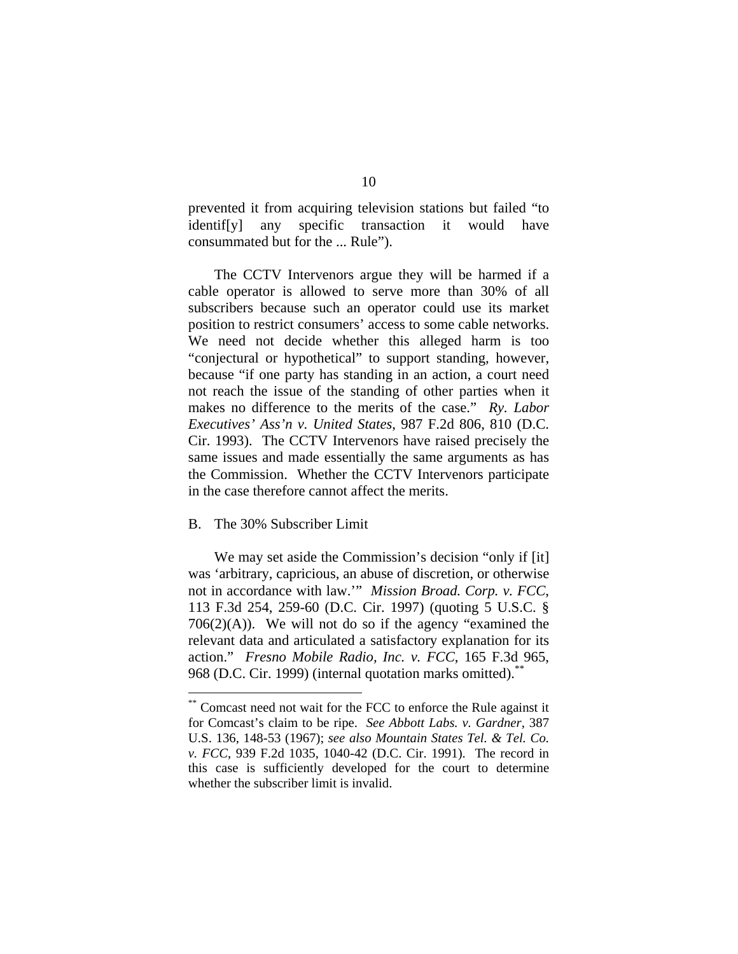prevented it from acquiring television stations but failed "to identif[y] any specific transaction it would have consummated but for the ... Rule").

The CCTV Intervenors argue they will be harmed if a cable operator is allowed to serve more than 30% of all subscribers because such an operator could use its market position to restrict consumers' access to some cable networks. We need not decide whether this alleged harm is too "conjectural or hypothetical" to support standing, however, because "if one party has standing in an action, a court need not reach the issue of the standing of other parties when it makes no difference to the merits of the case." *Ry. Labor Executives' Ass'n v. United States*, 987 F.2d 806, 810 (D.C. Cir. 1993). The CCTV Intervenors have raised precisely the same issues and made essentially the same arguments as has the Commission. Whether the CCTV Intervenors participate in the case therefore cannot affect the merits.

## B. The 30% Subscriber Limit

 $\overline{a}$ 

 We may set aside the Commission's decision "only if [it] was 'arbitrary, capricious, an abuse of discretion, or otherwise not in accordance with law.'" *Mission Broad. Corp. v. FCC*, 113 F.3d 254, 259-60 (D.C. Cir. 1997) (quoting 5 U.S.C. §  $706(2)(A)$ . We will not do so if the agency "examined the relevant data and articulated a satisfactory explanation for its action." *Fresno Mobile Radio, Inc. v. FCC*, 165 F.3d 965, 968 (D.C. Cir. 1999) (internal quotation marks omitted).

<sup>\*\*</sup> Comcast need not wait for the FCC to enforce the Rule against it for Comcast's claim to be ripe. *See Abbott Labs. v. Gardner*, 387 U.S. 136, 148-53 (1967); *see also Mountain States Tel. & Tel. Co. v. FCC*, 939 F.2d 1035, 1040-42 (D.C. Cir. 1991). The record in this case is sufficiently developed for the court to determine whether the subscriber limit is invalid.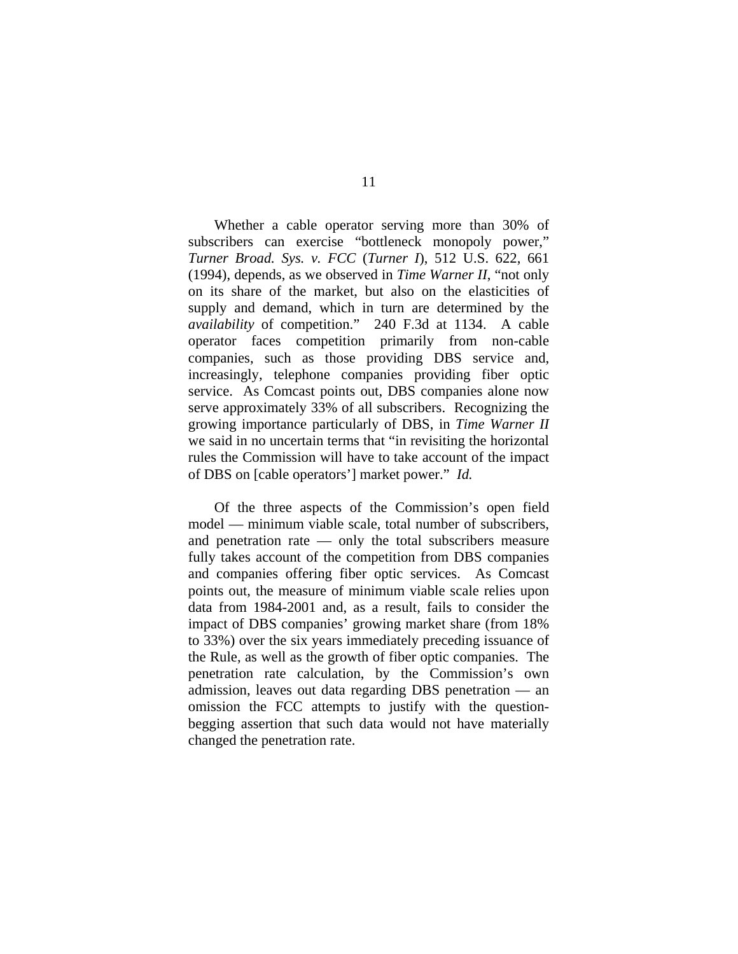Whether a cable operator serving more than 30% of subscribers can exercise "bottleneck monopoly power," *Turner Broad. Sys. v. FCC* (*Turner I*), 512 U.S. 622, 661 (1994), depends, as we observed in *Time Warner II*, "not only on its share of the market, but also on the elasticities of supply and demand, which in turn are determined by the *availability* of competition." 240 F.3d at 1134. A cable operator faces competition primarily from non-cable companies, such as those providing DBS service and, increasingly, telephone companies providing fiber optic service. As Comcast points out, DBS companies alone now serve approximately 33% of all subscribers. Recognizing the growing importance particularly of DBS, in *Time Warner II* we said in no uncertain terms that "in revisiting the horizontal rules the Commission will have to take account of the impact of DBS on [cable operators'] market power." *Id.*

Of the three aspects of the Commission's open field model — minimum viable scale, total number of subscribers, and penetration rate — only the total subscribers measure fully takes account of the competition from DBS companies and companies offering fiber optic services. As Comcast points out, the measure of minimum viable scale relies upon data from 1984-2001 and, as a result, fails to consider the impact of DBS companies' growing market share (from 18% to 33%) over the six years immediately preceding issuance of the Rule, as well as the growth of fiber optic companies. The penetration rate calculation, by the Commission's own admission, leaves out data regarding DBS penetration — an omission the FCC attempts to justify with the questionbegging assertion that such data would not have materially changed the penetration rate.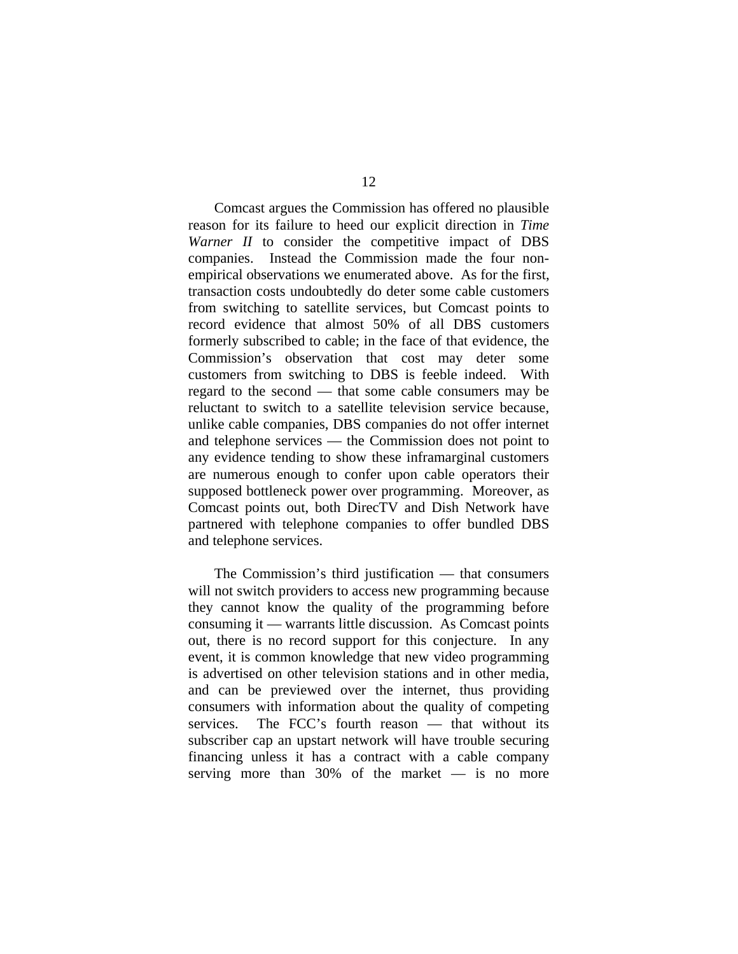Comcast argues the Commission has offered no plausible reason for its failure to heed our explicit direction in *Time Warner II* to consider the competitive impact of DBS companies. Instead the Commission made the four nonempirical observations we enumerated above. As for the first, transaction costs undoubtedly do deter some cable customers from switching to satellite services, but Comcast points to record evidence that almost 50% of all DBS customers formerly subscribed to cable; in the face of that evidence, the Commission's observation that cost may deter some customers from switching to DBS is feeble indeed. With regard to the second — that some cable consumers may be reluctant to switch to a satellite television service because, unlike cable companies, DBS companies do not offer internet and telephone services — the Commission does not point to any evidence tending to show these inframarginal customers are numerous enough to confer upon cable operators their supposed bottleneck power over programming. Moreover, as Comcast points out, both DirecTV and Dish Network have partnered with telephone companies to offer bundled DBS and telephone services.

The Commission's third justification — that consumers will not switch providers to access new programming because they cannot know the quality of the programming before consuming it — warrants little discussion. As Comcast points out, there is no record support for this conjecture. In any event, it is common knowledge that new video programming is advertised on other television stations and in other media, and can be previewed over the internet, thus providing consumers with information about the quality of competing services. The FCC's fourth reason — that without its subscriber cap an upstart network will have trouble securing financing unless it has a contract with a cable company serving more than 30% of the market — is no more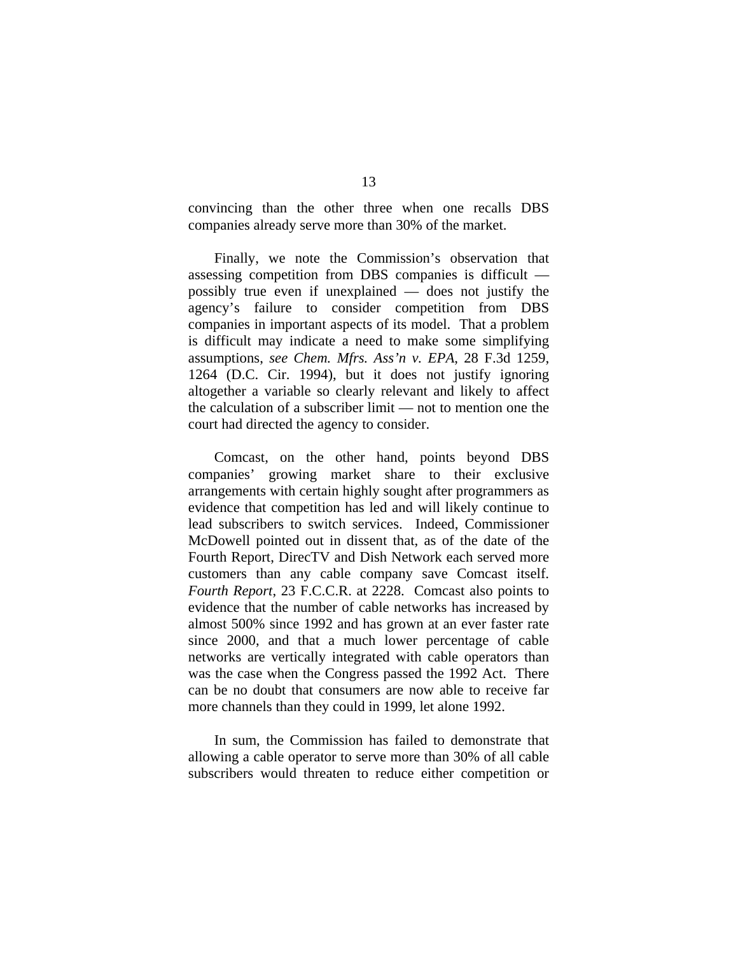convincing than the other three when one recalls DBS companies already serve more than 30% of the market.

Finally, we note the Commission's observation that assessing competition from DBS companies is difficult possibly true even if unexplained — does not justify the agency's failure to consider competition from DBS companies in important aspects of its model. That a problem is difficult may indicate a need to make some simplifying assumptions, *see Chem. Mfrs. Ass'n v. EPA*, 28 F.3d 1259, 1264 (D.C. Cir. 1994), but it does not justify ignoring altogether a variable so clearly relevant and likely to affect the calculation of a subscriber limit — not to mention one the court had directed the agency to consider.

Comcast, on the other hand, points beyond DBS companies' growing market share to their exclusive arrangements with certain highly sought after programmers as evidence that competition has led and will likely continue to lead subscribers to switch services. Indeed, Commissioner McDowell pointed out in dissent that, as of the date of the Fourth Report, DirecTV and Dish Network each served more customers than any cable company save Comcast itself. *Fourth Report*, 23 F.C.C.R. at 2228. Comcast also points to evidence that the number of cable networks has increased by almost 500% since 1992 and has grown at an ever faster rate since 2000, and that a much lower percentage of cable networks are vertically integrated with cable operators than was the case when the Congress passed the 1992 Act. There can be no doubt that consumers are now able to receive far more channels than they could in 1999, let alone 1992.

 In sum, the Commission has failed to demonstrate that allowing a cable operator to serve more than 30% of all cable subscribers would threaten to reduce either competition or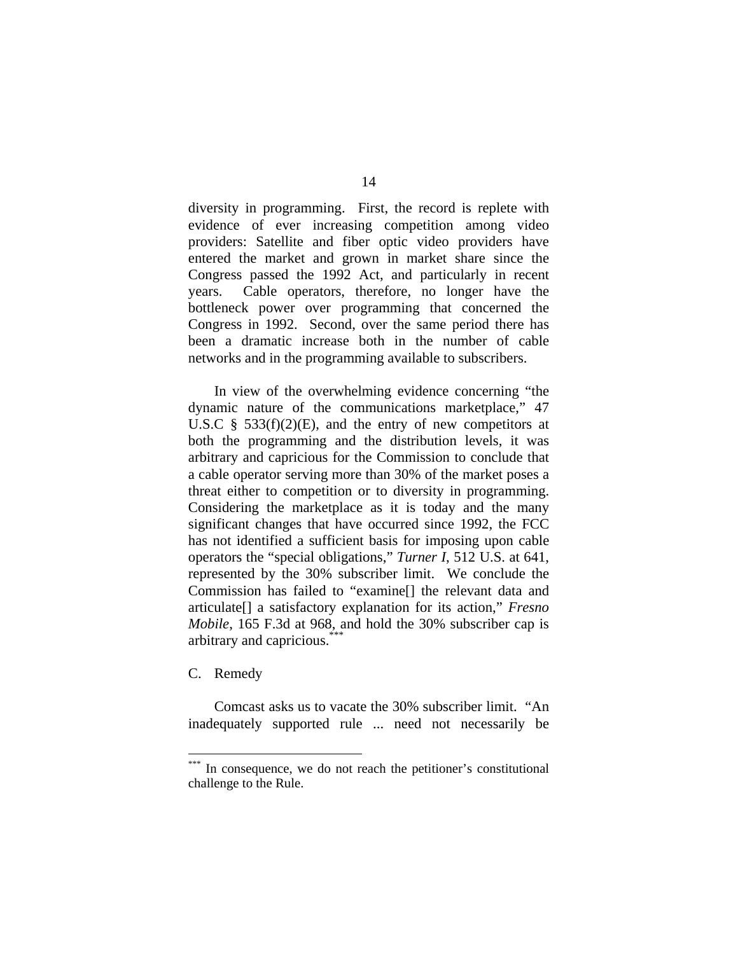diversity in programming. First, the record is replete with evidence of ever increasing competition among video providers: Satellite and fiber optic video providers have entered the market and grown in market share since the Congress passed the 1992 Act, and particularly in recent years. Cable operators, therefore, no longer have the bottleneck power over programming that concerned the Congress in 1992. Second, over the same period there has been a dramatic increase both in the number of cable networks and in the programming available to subscribers.

In view of the overwhelming evidence concerning "the dynamic nature of the communications marketplace," 47 U.S.C  $\frac{8}{5}$  533(f)(2)(E), and the entry of new competitors at both the programming and the distribution levels, it was arbitrary and capricious for the Commission to conclude that a cable operator serving more than 30% of the market poses a threat either to competition or to diversity in programming. Considering the marketplace as it is today and the many significant changes that have occurred since 1992, the FCC has not identified a sufficient basis for imposing upon cable operators the "special obligations," *Turner I*, 512 U.S. at 641, represented by the 30% subscriber limit. We conclude the Commission has failed to "examine[] the relevant data and articulate[] a satisfactory explanation for its action," *Fresno Mobile*, 165 F.3d at 968, and hold the 30% subscriber cap is arbitrary and capricious.\*\*\*

C. Remedy

 $\overline{a}$ 

Comcast asks us to vacate the 30% subscriber limit. "An inadequately supported rule ... need not necessarily be

In consequence, we do not reach the petitioner's constitutional challenge to the Rule.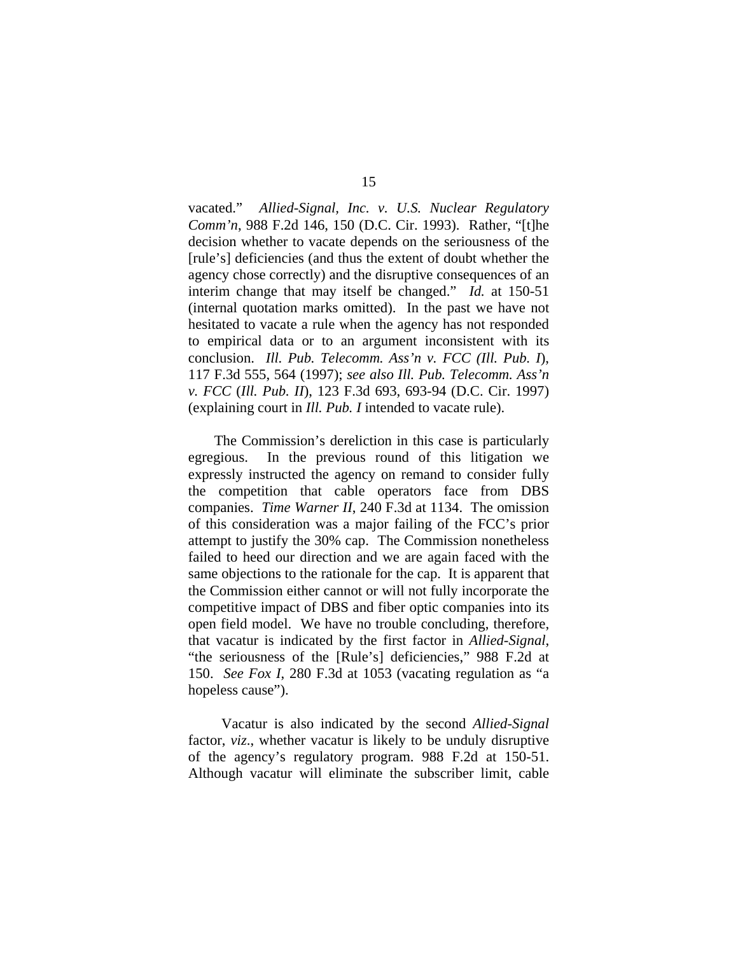vacated." *Allied-Signal, Inc. v. U.S. Nuclear Regulatory Comm'n*, 988 F.2d 146, 150 (D.C. Cir. 1993). Rather, "[t]he decision whether to vacate depends on the seriousness of the [rule's] deficiencies (and thus the extent of doubt whether the agency chose correctly) and the disruptive consequences of an interim change that may itself be changed." *Id.* at 150-51 (internal quotation marks omitted). In the past we have not hesitated to vacate a rule when the agency has not responded to empirical data or to an argument inconsistent with its conclusion. *Ill. Pub. Telecomm. Ass'n v. FCC (Ill. Pub. I*), 117 F.3d 555, 564 (1997); *see also Ill. Pub. Telecomm. Ass'n v. FCC* (*Ill. Pub. II*), 123 F.3d 693, 693-94 (D.C. Cir. 1997) (explaining court in *Ill. Pub. I* intended to vacate rule).

 The Commission's dereliction in this case is particularly egregious. In the previous round of this litigation we expressly instructed the agency on remand to consider fully the competition that cable operators face from DBS companies. *Time Warner II*, 240 F.3d at 1134. The omission of this consideration was a major failing of the FCC's prior attempt to justify the 30% cap. The Commission nonetheless failed to heed our direction and we are again faced with the same objections to the rationale for the cap. It is apparent that the Commission either cannot or will not fully incorporate the competitive impact of DBS and fiber optic companies into its open field model. We have no trouble concluding, therefore, that vacatur is indicated by the first factor in *Allied-Signal*, "the seriousness of the [Rule's] deficiencies," 988 F.2d at 150. *See Fox I*, 280 F.3d at 1053 (vacating regulation as "a hopeless cause").

 Vacatur is also indicated by the second *Allied-Signal* factor, *viz*., whether vacatur is likely to be unduly disruptive of the agency's regulatory program. 988 F.2d at 150-51. Although vacatur will eliminate the subscriber limit, cable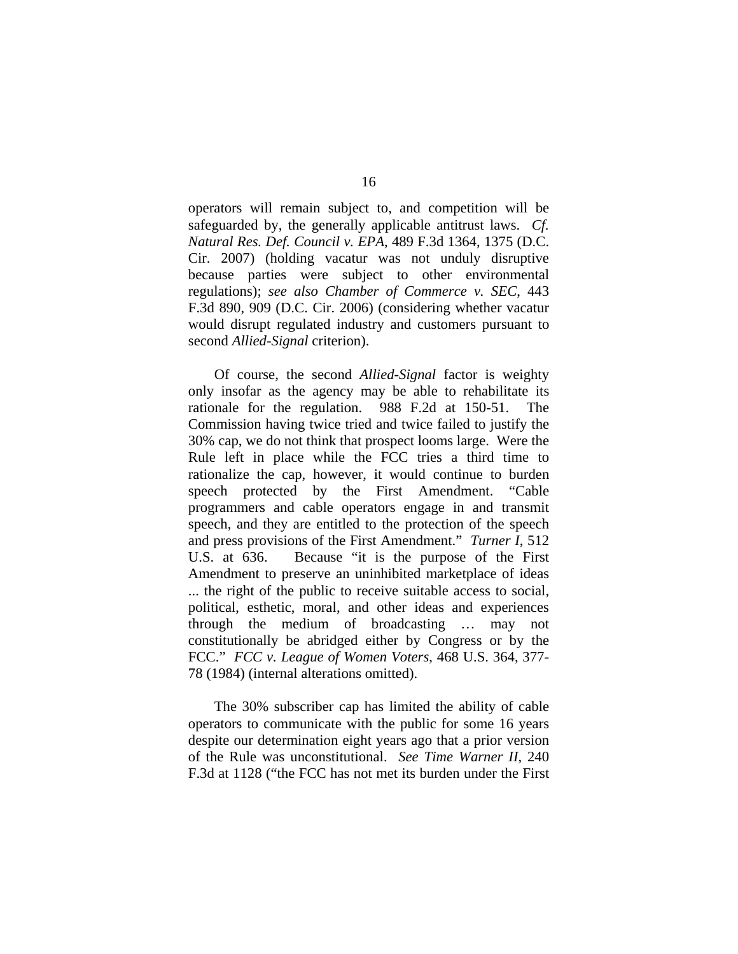operators will remain subject to, and competition will be safeguarded by, the generally applicable antitrust laws. *Cf. Natural Res. Def. Council v. EPA*, 489 F.3d 1364, 1375 (D.C. Cir. 2007) (holding vacatur was not unduly disruptive because parties were subject to other environmental regulations); *see also Chamber of Commerce v. SEC*, 443 F.3d 890, 909 (D.C. Cir. 2006) (considering whether vacatur would disrupt regulated industry and customers pursuant to second *Allied-Signal* criterion).

Of course, the second *Allied-Signal* factor is weighty only insofar as the agency may be able to rehabilitate its rationale for the regulation. 988 F.2d at 150-51. The Commission having twice tried and twice failed to justify the 30% cap, we do not think that prospect looms large. Were the Rule left in place while the FCC tries a third time to rationalize the cap, however, it would continue to burden speech protected by the First Amendment. "Cable programmers and cable operators engage in and transmit speech, and they are entitled to the protection of the speech and press provisions of the First Amendment." *Turner I*, 512 U.S. at 636. Because "it is the purpose of the First Amendment to preserve an uninhibited marketplace of ideas ... the right of the public to receive suitable access to social, political, esthetic, moral, and other ideas and experiences through the medium of broadcasting … may not constitutionally be abridged either by Congress or by the FCC." *FCC v. League of Women Voters*, 468 U.S. 364, 377- 78 (1984) (internal alterations omitted).

The 30% subscriber cap has limited the ability of cable operators to communicate with the public for some 16 years despite our determination eight years ago that a prior version of the Rule was unconstitutional. *See Time Warner II*, 240 F.3d at 1128 ("the FCC has not met its burden under the First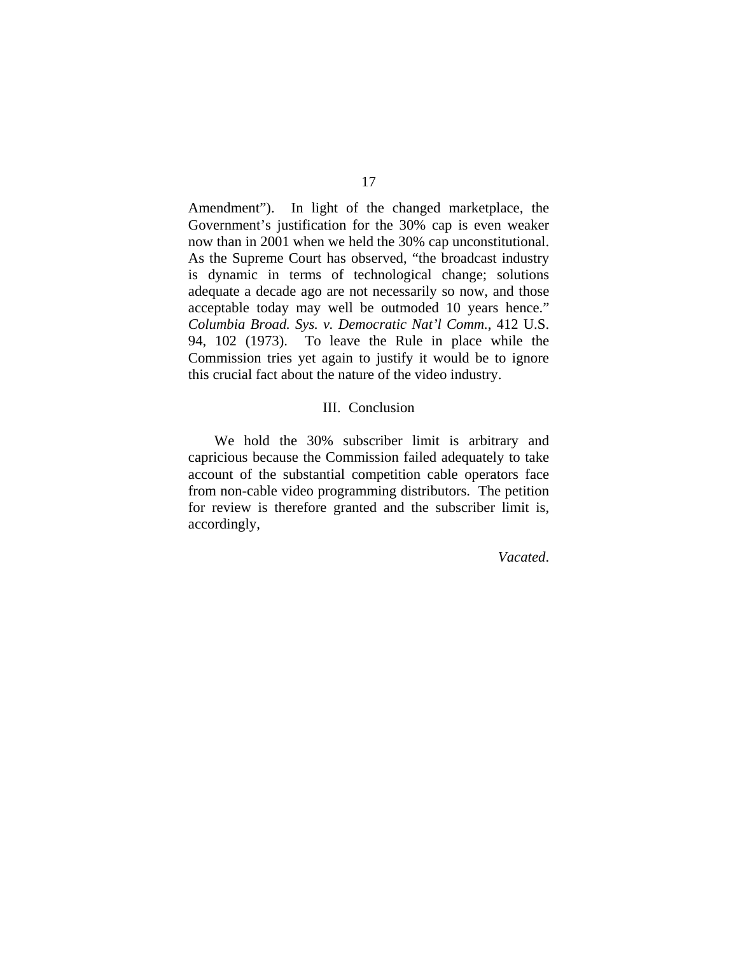Amendment"). In light of the changed marketplace, the Government's justification for the 30% cap is even weaker now than in 2001 when we held the 30% cap unconstitutional. As the Supreme Court has observed, "the broadcast industry is dynamic in terms of technological change; solutions adequate a decade ago are not necessarily so now, and those acceptable today may well be outmoded 10 years hence." *Columbia Broad. Sys. v. Democratic Nat'l Comm.*, 412 U.S. 94, 102 (1973). To leave the Rule in place while the Commission tries yet again to justify it would be to ignore this crucial fact about the nature of the video industry.

## III. Conclusion

 We hold the 30% subscriber limit is arbitrary and capricious because the Commission failed adequately to take account of the substantial competition cable operators face from non-cable video programming distributors. The petition for review is therefore granted and the subscriber limit is, accordingly,

*Vacated*.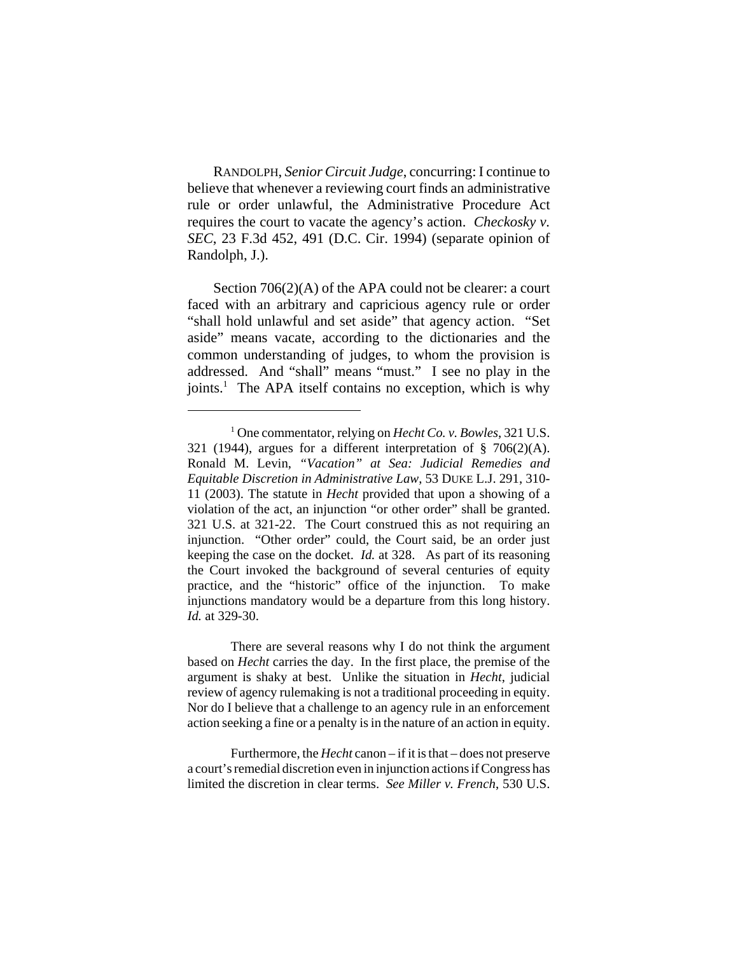RANDOLPH, *Senior Circuit Judge*, concurring: I continue to believe that whenever a reviewing court finds an administrative rule or order unlawful, the Administrative Procedure Act requires the court to vacate the agency's action. *Checkosky v. SEC*, 23 F.3d 452, 491 (D.C. Cir. 1994) (separate opinion of Randolph, J.).

Section 706(2)(A) of the APA could not be clearer: a court faced with an arbitrary and capricious agency rule or order "shall hold unlawful and set aside" that agency action. "Set aside" means vacate, according to the dictionaries and the common understanding of judges, to whom the provision is addressed. And "shall" means "must." I see no play in the joints.<sup>1</sup> The APA itself contains no exception, which is why

There are several reasons why I do not think the argument based on *Hecht* carries the day. In the first place, the premise of the argument is shaky at best. Unlike the situation in *Hecht*, judicial review of agency rulemaking is not a traditional proceeding in equity. Nor do I believe that a challenge to an agency rule in an enforcement action seeking a fine or a penalty is in the nature of an action in equity.

Furthermore, the *Hecht* canon – if it is that – does not preserve a court's remedial discretion even in injunction actions if Congress has limited the discretion in clear terms. *See Miller v. French*, 530 U.S.

<sup>1</sup> One commentator, relying on *Hecht Co. v. Bowles*, 321 U.S. 321 (1944), argues for a different interpretation of  $\S$  706(2)(A). Ronald M. Levin, *"Vacation" at Sea: Judicial Remedies and Equitable Discretion in Administrative Law*, 53 DUKE L.J. 291, 310- 11 (2003). The statute in *Hecht* provided that upon a showing of a violation of the act, an injunction "or other order" shall be granted. 321 U.S. at 321-22. The Court construed this as not requiring an injunction. "Other order" could, the Court said, be an order just keeping the case on the docket. *Id.* at 328. As part of its reasoning the Court invoked the background of several centuries of equity practice, and the "historic" office of the injunction. To make injunctions mandatory would be a departure from this long history. *Id.* at 329-30.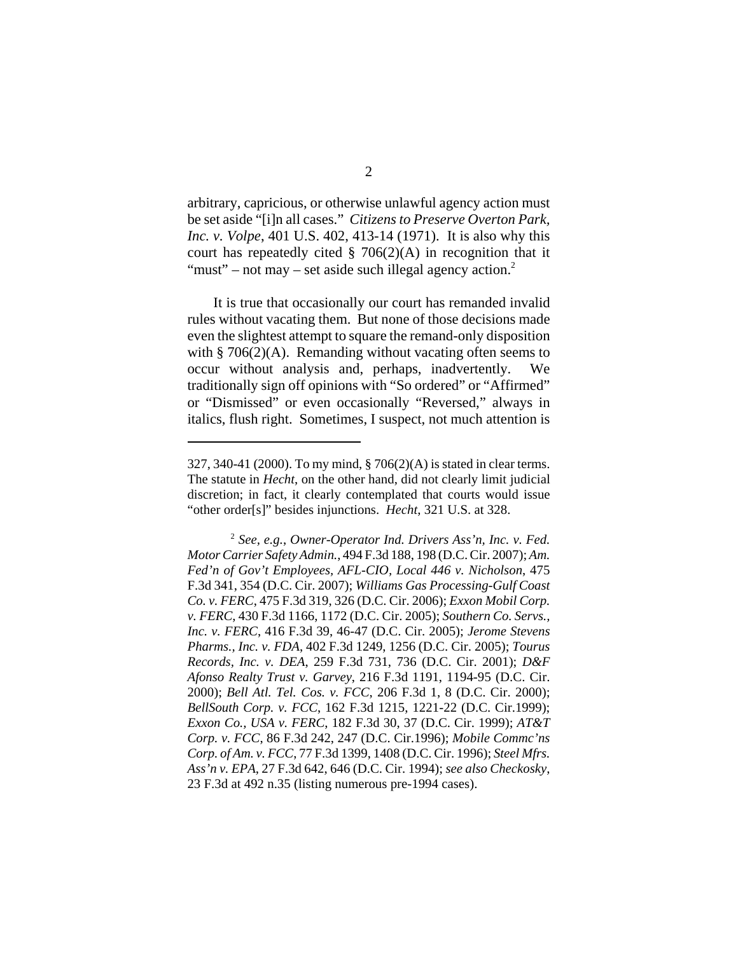arbitrary, capricious, or otherwise unlawful agency action must be set aside "[i]n all cases." *Citizens to Preserve Overton Park, Inc. v. Volpe*, 401 U.S. 402, 413-14 (1971). It is also why this court has repeatedly cited  $\S$  706(2)(A) in recognition that it "must" – not may – set aside such illegal agency action. $2$ 

It is true that occasionally our court has remanded invalid rules without vacating them. But none of those decisions made even the slightest attempt to square the remand-only disposition with  $\S$  706(2)(A). Remanding without vacating often seems to occur without analysis and, perhaps, inadvertently. We traditionally sign off opinions with "So ordered" or "Affirmed" or "Dismissed" or even occasionally "Reversed," always in italics, flush right. Sometimes, I suspect, not much attention is

<sup>327, 340-41 (2000).</sup> To my mind, § 706(2)(A) is stated in clear terms. The statute in *Hecht*, on the other hand, did not clearly limit judicial discretion; in fact, it clearly contemplated that courts would issue "other order[s]" besides injunctions. *Hecht*, 321 U.S. at 328.

<sup>2</sup> *See, e.g.*, *Owner-Operator Ind. Drivers Ass'n, Inc. v. Fed. Motor Carrier Safety Admin.*, 494 F.3d 188, 198 (D.C. Cir. 2007); *Am. Fed'n of Gov't Employees, AFL-CIO, Local 446 v. Nicholson*, 475 F.3d 341, 354 (D.C. Cir. 2007); *Williams Gas Processing-Gulf Coast Co. v. FERC*, 475 F.3d 319, 326 (D.C. Cir. 2006); *Exxon Mobil Corp. v. FERC*, 430 F.3d 1166, 1172 (D.C. Cir. 2005); *Southern Co. Servs., Inc. v. FERC*, 416 F.3d 39, 46-47 (D.C. Cir. 2005); *Jerome Stevens Pharms., Inc. v. FDA*, 402 F.3d 1249, 1256 (D.C. Cir. 2005); *Tourus Records, Inc. v. DEA*, 259 F.3d 731, 736 (D.C. Cir. 2001); *D&F Afonso Realty Trust v. Garvey*, 216 F.3d 1191, 1194-95 (D.C. Cir. 2000); *Bell Atl. Tel. Cos. v. FCC*, 206 F.3d 1, 8 (D.C. Cir. 2000); *BellSouth Corp. v. FCC*, 162 F.3d 1215, 1221-22 (D.C. Cir.1999); *Exxon Co., USA v. FERC*, 182 F.3d 30, 37 (D.C. Cir. 1999); *AT&T Corp. v. FCC*, 86 F.3d 242, 247 (D.C. Cir.1996); *Mobile Commc'ns Corp. of Am. v. FCC*, 77 F.3d 1399, 1408 (D.C. Cir. 1996); *Steel Mfrs. Ass'n v. EPA*, 27 F.3d 642, 646 (D.C. Cir. 1994); *see also Checkosky*, 23 F.3d at 492 n.35 (listing numerous pre-1994 cases).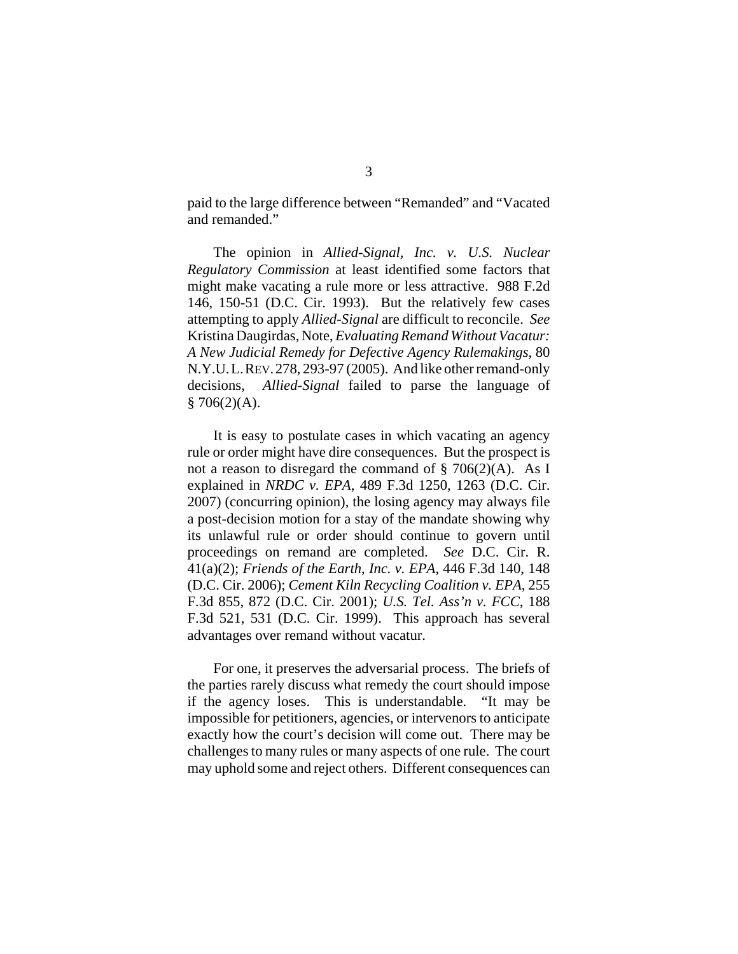paid to the large difference between "Remanded" and "Vacated and remanded."

The opinion in *Allied-Signal, Inc. v. U.S. Nuclear Regulatory Commission* at least identified some factors that might make vacating a rule more or less attractive. 988 F.2d 146, 150-51 (D.C. Cir. 1993). But the relatively few cases attempting to apply *Allied-Signal* are difficult to reconcile. *See* Kristina Daugirdas, Note, *Evaluating Remand Without Vacatur: A New Judicial Remedy for Defective Agency Rulemakings*, 80 N.Y.U.L.REV.278, 293-97 (2005). And like other remand-only decisions, *Allied-Signal* failed to parse the language of  $§ 706(2)(A).$ 

It is easy to postulate cases in which vacating an agency rule or order might have dire consequences. But the prospect is not a reason to disregard the command of  $\S$  706(2)(A). As I explained in *NRDC v. EPA*, 489 F.3d 1250, 1263 (D.C. Cir. 2007) (concurring opinion), the losing agency may always file a post-decision motion for a stay of the mandate showing why its unlawful rule or order should continue to govern until proceedings on remand are completed. *See* D.C. Cir. R. 41(a)(2); *Friends of the Earth, Inc. v. EPA*, 446 F.3d 140, 148 (D.C. Cir. 2006); *Cement Kiln Recycling Coalition v. EPA*, 255 F.3d 855, 872 (D.C. Cir. 2001); *U.S. Tel. Ass'n v. FCC*, 188 F.3d 521, 531 (D.C. Cir. 1999). This approach has several advantages over remand without vacatur.

For one, it preserves the adversarial process. The briefs of the parties rarely discuss what remedy the court should impose if the agency loses. This is understandable. "It may be impossible for petitioners, agencies, or intervenors to anticipate exactly how the court's decision will come out. There may be challenges to many rules or many aspects of one rule. The court may uphold some and reject others. Different consequences can